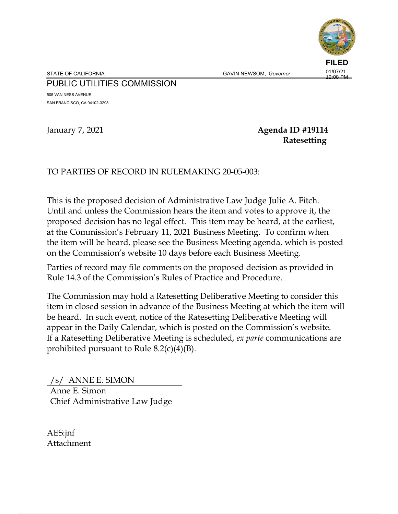

STATE OF CALIFORNIA **GAVIN NEWSOM, Governor** 

# PUBLIC UTILITIES COMMISSION

505 VAN NESS AVENUE SAN FRANCISCO, CA 94102-3298

# January 7, 2021 **Agenda ID #19114 Ratesetting**

# TO PARTIES OF RECORD IN RULEMAKING 20-05-003:

This is the proposed decision of Administrative Law Judge Julie A. Fitch. Until and unless the Commission hears the item and votes to approve it, the proposed decision has no legal effect. This item may be heard, at the earliest, at the Commission's February 11, 2021 Business Meeting. To confirm when the item will be heard, please see the Business Meeting agenda, which is posted on the Commission's website 10 days before each Business Meeting.

Parties of record may file comments on the proposed decision as provided in Rule 14.3 of the Commission's Rules of Practice and Procedure.

The Commission may hold a Ratesetting Deliberative Meeting to consider this item in closed session in advance of the Business Meeting at which the item will be heard. In such event, notice of the Ratesetting Deliberative Meeting will appear in the Daily Calendar, which is posted on the Commission's website. If a Ratesetting Deliberative Meeting is scheduled, *ex parte* communications are prohibited pursuant to Rule  $8.2(c)(4)(B)$ .

/s/ ANNE E. SIMON Anne E. Simon Chief Administrative Law Judge

AES:jnf Attachment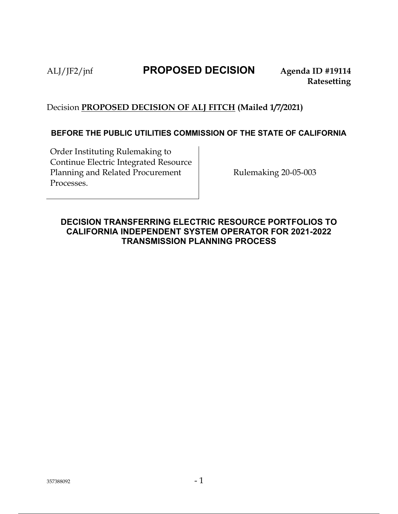# ALJ/JF2/jnf **PROPOSED DECISION Agenda ID #19114**

# Decision **PROPOSED DECISION OF ALJ FITCH (Mailed 1/7/2021)**

# **BEFORE THE PUBLIC UTILITIES COMMISSION OF THE STATE OF CALIFORNIA**

Order Instituting Rulemaking to Continue Electric Integrated Resource Planning and Related Procurement Processes.

Rulemaking 20-05-003

# **DECISION TRANSFERRING ELECTRIC RESOURCE PORTFOLIOS TO CALIFORNIA INDEPENDENT SYSTEM OPERATOR FOR 2021-2022 TRANSMISSION PLANNING PROCESS**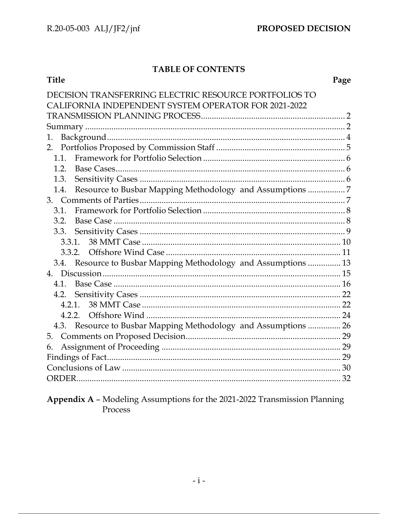# TABLE OF CONTENTS

| <b>Title</b>                                                     | Page |
|------------------------------------------------------------------|------|
| ISION TRANSFERRING ELECTRIC RESOURCE PORTFOLIOS TO               |      |
| CALIFORNIA INDEPENDENT SYSTEM OPERATOR FOR 2021-2022             |      |
|                                                                  |      |
|                                                                  |      |
| 1.                                                               |      |
| 2.                                                               |      |
| 1.1.                                                             |      |
| 1.2.                                                             |      |
| 1.3.                                                             |      |
| Resource to Busbar Mapping Methodology and Assumptions 7<br>1.4. |      |
|                                                                  |      |
| 3.1.                                                             |      |
| 3.2.                                                             |      |
| 3.3.                                                             |      |
| 3.3.1.                                                           |      |
| 3.3.2.                                                           |      |
| 3.4. Resource to Busbar Mapping Methodology and Assumptions  13  |      |
| 4.                                                               |      |
| 4.1.                                                             |      |
| 4.2.                                                             |      |
| $4.2.1$ .                                                        |      |
|                                                                  |      |
| 4.3. Resource to Busbar Mapping Methodology and Assumptions  26  |      |
| 5.                                                               |      |
| 6.                                                               |      |
|                                                                  |      |
|                                                                  |      |
|                                                                  |      |

Appendix A - Modeling Assumptions for the 2021-2022 Transmission Planning Process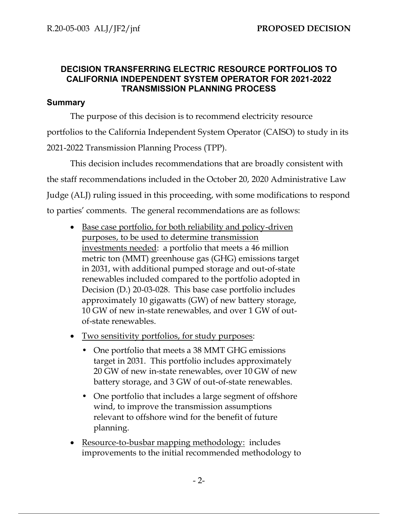# **DECISION TRANSFERRING ELECTRIC RESOURCE PORTFOLIOS TO CALIFORNIA INDEPENDENT SYSTEM OPERATOR FOR 2021-2022 TRANSMISSION PLANNING PROCESS**

# **Summary**

The purpose of this decision is to recommend electricity resource portfolios to the California Independent System Operator (CAISO) to study in its 2021-2022 Transmission Planning Process (TPP).

This decision includes recommendations that are broadly consistent with the staff recommendations included in the October 20, 2020 Administrative Law Judge (ALJ) ruling issued in this proceeding, with some modifications to respond to parties' comments. The general recommendations are as follows:

- Base case portfolio, for both reliability and policy-driven purposes, to be used to determine transmission investments needed: a portfolio that meets a 46 million metric ton (MMT) greenhouse gas (GHG) emissions target in 2031, with additional pumped storage and out-of-state renewables included compared to the portfolio adopted in Decision (D.) 20-03-028. This base case portfolio includes approximately 10 gigawatts (GW) of new battery storage, 10 GW of new in-state renewables, and over 1 GW of outof-state renewables.
- Two sensitivity portfolios, for study purposes:
	- One portfolio that meets a 38 MMT GHG emissions target in 2031. This portfolio includes approximately 20 GW of new in-state renewables, over 10 GW of new battery storage, and 3 GW of out-of-state renewables.
	- One portfolio that includes a large segment of offshore wind, to improve the transmission assumptions relevant to offshore wind for the benefit of future planning.
- Resource-to-busbar mapping methodology: includes improvements to the initial recommended methodology to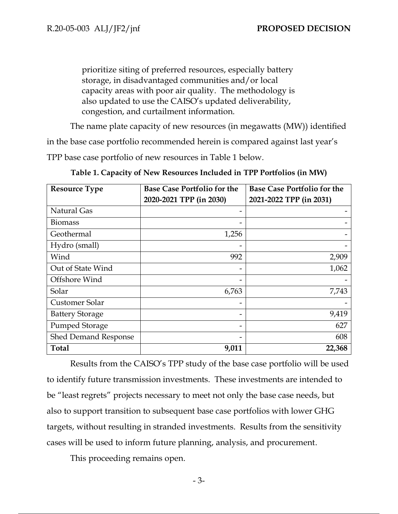prioritize siting of preferred resources, especially battery storage, in disadvantaged communities and/or local capacity areas with poor air quality. The methodology is also updated to use the CAISO's updated deliverability, congestion, and curtailment information.

The name plate capacity of new resources (in megawatts (MW)) identified

in the base case portfolio recommended herein is compared against last year's

TPP base case portfolio of new resources in Table 1 below.

| <b>Resource Type</b>   | <b>Base Case Portfolio for the</b> | <b>Base Case Portfolio for the</b> |
|------------------------|------------------------------------|------------------------------------|
|                        | 2020-2021 TPP (in 2030)            | 2021-2022 TPP (in 2031)            |
| <b>Natural Gas</b>     |                                    |                                    |
| <b>Biomass</b>         |                                    |                                    |
| Geothermal             | 1,256                              |                                    |
| Hydro (small)          |                                    |                                    |
| Wind                   | 992                                | 2,909                              |
| Out of State Wind      |                                    | 1,062                              |
| Offshore Wind          |                                    |                                    |
| Solar                  | 6,763                              | 7,743                              |
| Customer Solar         | -                                  |                                    |
| <b>Battery Storage</b> |                                    | 9,419                              |
| <b>Pumped Storage</b>  |                                    | 627                                |
| Shed Demand Response   |                                    | 608                                |
| <b>Total</b>           | 9,011                              | 22,368                             |

**Table 1. Capacity of New Resources Included in TPP Portfolios (in MW)**

Results from the CAISO's TPP study of the base case portfolio will be used to identify future transmission investments. These investments are intended to be "least regrets" projects necessary to meet not only the base case needs, but also to support transition to subsequent base case portfolios with lower GHG targets, without resulting in stranded investments. Results from the sensitivity cases will be used to inform future planning, analysis, and procurement.

This proceeding remains open.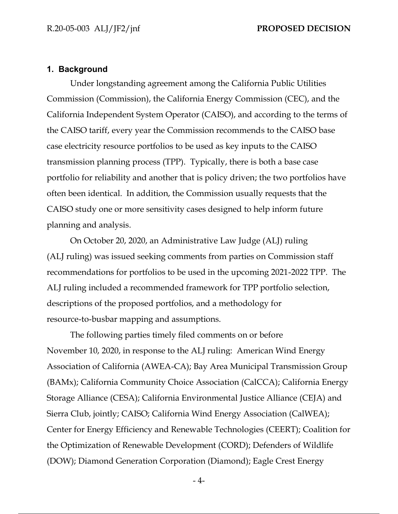### **1. Background**

Under longstanding agreement among the California Public Utilities Commission (Commission), the California Energy Commission (CEC), and the California Independent System Operator (CAISO), and according to the terms of the CAISO tariff, every year the Commission recommends to the CAISO base case electricity resource portfolios to be used as key inputs to the CAISO transmission planning process (TPP). Typically, there is both a base case portfolio for reliability and another that is policy driven; the two portfolios have often been identical. In addition, the Commission usually requests that the CAISO study one or more sensitivity cases designed to help inform future planning and analysis.

On October 20, 2020, an Administrative Law Judge (ALJ) ruling (ALJ ruling) was issued seeking comments from parties on Commission staff recommendations for portfolios to be used in the upcoming 2021-2022 TPP. The ALJ ruling included a recommended framework for TPP portfolio selection, descriptions of the proposed portfolios, and a methodology for resource-to-busbar mapping and assumptions.

The following parties timely filed comments on or before November 10, 2020, in response to the ALJ ruling: American Wind Energy Association of California (AWEA-CA); Bay Area Municipal Transmission Group (BAMx); California Community Choice Association (CalCCA); California Energy Storage Alliance (CESA); California Environmental Justice Alliance (CEJA) and Sierra Club, jointly; CAISO; California Wind Energy Association (CalWEA); Center for Energy Efficiency and Renewable Technologies (CEERT); Coalition for the Optimization of Renewable Development (CORD); Defenders of Wildlife (DOW); Diamond Generation Corporation (Diamond); Eagle Crest Energy

- 4-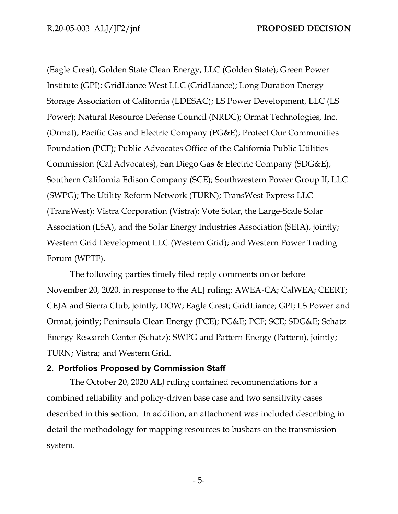(Eagle Crest); Golden State Clean Energy, LLC (Golden State); Green Power Institute (GPI); GridLiance West LLC (GridLiance); Long Duration Energy Storage Association of California (LDESAC); LS Power Development, LLC (LS Power); Natural Resource Defense Council (NRDC); Ormat Technologies, Inc. (Ormat); Pacific Gas and Electric Company (PG&E); Protect Our Communities Foundation (PCF); Public Advocates Office of the California Public Utilities Commission (Cal Advocates); San Diego Gas & Electric Company (SDG&E); Southern California Edison Company (SCE); Southwestern Power Group II, LLC (SWPG); The Utility Reform Network (TURN); TransWest Express LLC (TransWest); Vistra Corporation (Vistra); Vote Solar, the Large-Scale Solar Association (LSA), and the Solar Energy Industries Association (SEIA), jointly; Western Grid Development LLC (Western Grid); and Western Power Trading Forum (WPTF).

The following parties timely filed reply comments on or before November 20, 2020, in response to the ALJ ruling: AWEA-CA; CalWEA; CEERT; CEJA and Sierra Club, jointly; DOW; Eagle Crest; GridLiance; GPI; LS Power and Ormat, jointly; Peninsula Clean Energy (PCE); PG&E; PCF; SCE; SDG&E; Schatz Energy Research Center (Schatz); SWPG and Pattern Energy (Pattern), jointly; TURN; Vistra; and Western Grid.

## **2. Portfolios Proposed by Commission Staff**

The October 20, 2020 ALJ ruling contained recommendations for a combined reliability and policy-driven base case and two sensitivity cases described in this section. In addition, an attachment was included describing in detail the methodology for mapping resources to busbars on the transmission system.

- 5-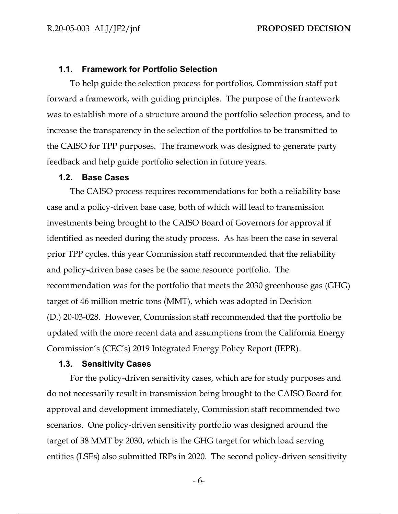### **1.1. Framework for Portfolio Selection**

To help guide the selection process for portfolios, Commission staff put forward a framework, with guiding principles. The purpose of the framework was to establish more of a structure around the portfolio selection process, and to increase the transparency in the selection of the portfolios to be transmitted to the CAISO for TPP purposes. The framework was designed to generate party feedback and help guide portfolio selection in future years.

### **1.2. Base Cases**

The CAISO process requires recommendations for both a reliability base case and a policy-driven base case, both of which will lead to transmission investments being brought to the CAISO Board of Governors for approval if identified as needed during the study process. As has been the case in several prior TPP cycles, this year Commission staff recommended that the reliability and policy-driven base cases be the same resource portfolio. The recommendation was for the portfolio that meets the 2030 greenhouse gas (GHG) target of 46 million metric tons (MMT), which was adopted in Decision (D.) 20-03-028. However, Commission staff recommended that the portfolio be updated with the more recent data and assumptions from the California Energy Commission's (CEC's) 2019 Integrated Energy Policy Report (IEPR).

### **1.3. Sensitivity Cases**

For the policy-driven sensitivity cases, which are for study purposes and do not necessarily result in transmission being brought to the CAISO Board for approval and development immediately, Commission staff recommended two scenarios. One policy-driven sensitivity portfolio was designed around the target of 38 MMT by 2030, which is the GHG target for which load serving entities (LSEs) also submitted IRPs in 2020. The second policy-driven sensitivity

- 6-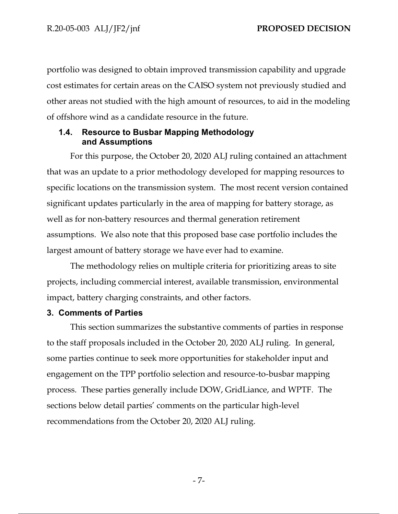portfolio was designed to obtain improved transmission capability and upgrade cost estimates for certain areas on the CAISO system not previously studied and other areas not studied with the high amount of resources, to aid in the modeling of offshore wind as a candidate resource in the future.

# **1.4. Resource to Busbar Mapping Methodology and Assumptions**

For this purpose, the October 20, 2020 ALJ ruling contained an attachment that was an update to a prior methodology developed for mapping resources to specific locations on the transmission system. The most recent version contained significant updates particularly in the area of mapping for battery storage, as well as for non-battery resources and thermal generation retirement assumptions. We also note that this proposed base case portfolio includes the largest amount of battery storage we have ever had to examine.

The methodology relies on multiple criteria for prioritizing areas to site projects, including commercial interest, available transmission, environmental impact, battery charging constraints, and other factors.

### **3. Comments of Parties**

This section summarizes the substantive comments of parties in response to the staff proposals included in the October 20, 2020 ALJ ruling. In general, some parties continue to seek more opportunities for stakeholder input and engagement on the TPP portfolio selection and resource-to-busbar mapping process. These parties generally include DOW, GridLiance, and WPTF. The sections below detail parties' comments on the particular high-level recommendations from the October 20, 2020 ALJ ruling.

- 7-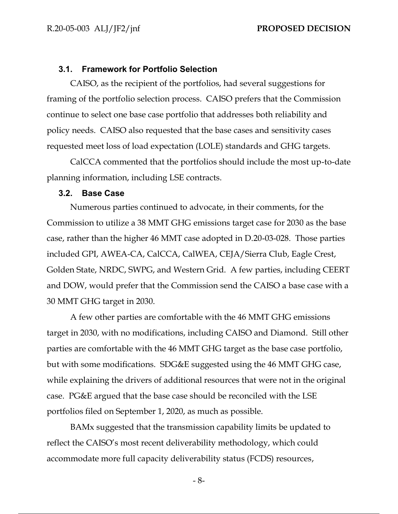### **3.1. Framework for Portfolio Selection**

CAISO, as the recipient of the portfolios, had several suggestions for framing of the portfolio selection process. CAISO prefers that the Commission continue to select one base case portfolio that addresses both reliability and policy needs. CAISO also requested that the base cases and sensitivity cases requested meet loss of load expectation (LOLE) standards and GHG targets.

CalCCA commented that the portfolios should include the most up-to-date planning information, including LSE contracts.

### **3.2. Base Case**

Numerous parties continued to advocate, in their comments, for the Commission to utilize a 38 MMT GHG emissions target case for 2030 as the base case, rather than the higher 46 MMT case adopted in D.20-03-028. Those parties included GPI, AWEA-CA, CalCCA, CalWEA, CEJA/Sierra Club, Eagle Crest, Golden State, NRDC, SWPG, and Western Grid. A few parties, including CEERT and DOW, would prefer that the Commission send the CAISO a base case with a 30 MMT GHG target in 2030.

A few other parties are comfortable with the 46 MMT GHG emissions target in 2030, with no modifications, including CAISO and Diamond. Still other parties are comfortable with the 46 MMT GHG target as the base case portfolio, but with some modifications. SDG&E suggested using the 46 MMT GHG case, while explaining the drivers of additional resources that were not in the original case. PG&E argued that the base case should be reconciled with the LSE portfolios filed on September 1, 2020, as much as possible.

BAMx suggested that the transmission capability limits be updated to reflect the CAISO's most recent deliverability methodology, which could accommodate more full capacity deliverability status (FCDS) resources,

- 8-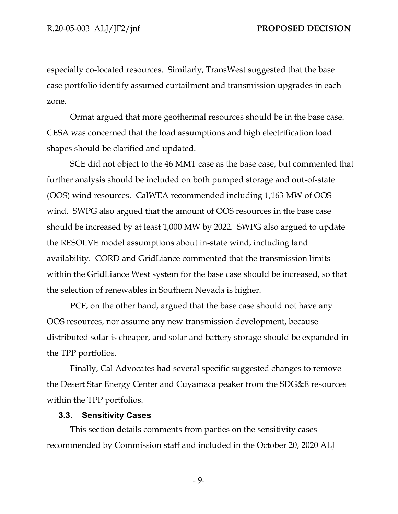especially co-located resources. Similarly, TransWest suggested that the base case portfolio identify assumed curtailment and transmission upgrades in each zone.

Ormat argued that more geothermal resources should be in the base case. CESA was concerned that the load assumptions and high electrification load shapes should be clarified and updated.

SCE did not object to the 46 MMT case as the base case, but commented that further analysis should be included on both pumped storage and out-of-state (OOS) wind resources. CalWEA recommended including 1,163 MW of OOS wind. SWPG also argued that the amount of OOS resources in the base case should be increased by at least 1,000 MW by 2022. SWPG also argued to update the RESOLVE model assumptions about in-state wind, including land availability. CORD and GridLiance commented that the transmission limits within the GridLiance West system for the base case should be increased, so that the selection of renewables in Southern Nevada is higher.

PCF, on the other hand, argued that the base case should not have any OOS resources, nor assume any new transmission development, because distributed solar is cheaper, and solar and battery storage should be expanded in the TPP portfolios.

Finally, Cal Advocates had several specific suggested changes to remove the Desert Star Energy Center and Cuyamaca peaker from the SDG&E resources within the TPP portfolios.

### **3.3. Sensitivity Cases**

This section details comments from parties on the sensitivity cases recommended by Commission staff and included in the October 20, 2020 ALJ

- 9-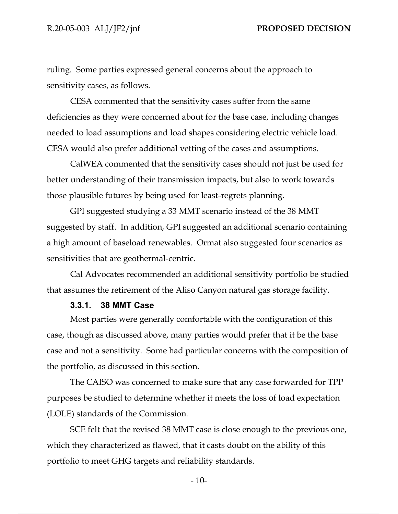ruling. Some parties expressed general concerns about the approach to sensitivity cases, as follows.

CESA commented that the sensitivity cases suffer from the same deficiencies as they were concerned about for the base case, including changes needed to load assumptions and load shapes considering electric vehicle load. CESA would also prefer additional vetting of the cases and assumptions.

CalWEA commented that the sensitivity cases should not just be used for better understanding of their transmission impacts, but also to work towards those plausible futures by being used for least-regrets planning.

GPI suggested studying a 33 MMT scenario instead of the 38 MMT suggested by staff. In addition, GPI suggested an additional scenario containing a high amount of baseload renewables. Ormat also suggested four scenarios as sensitivities that are geothermal-centric.

Cal Advocates recommended an additional sensitivity portfolio be studied that assumes the retirement of the Aliso Canyon natural gas storage facility.

### **3.3.1. 38 MMT Case**

Most parties were generally comfortable with the configuration of this case, though as discussed above, many parties would prefer that it be the base case and not a sensitivity. Some had particular concerns with the composition of the portfolio, as discussed in this section.

The CAISO was concerned to make sure that any case forwarded for TPP purposes be studied to determine whether it meets the loss of load expectation (LOLE) standards of the Commission.

SCE felt that the revised 38 MMT case is close enough to the previous one, which they characterized as flawed, that it casts doubt on the ability of this portfolio to meet GHG targets and reliability standards.

- 10-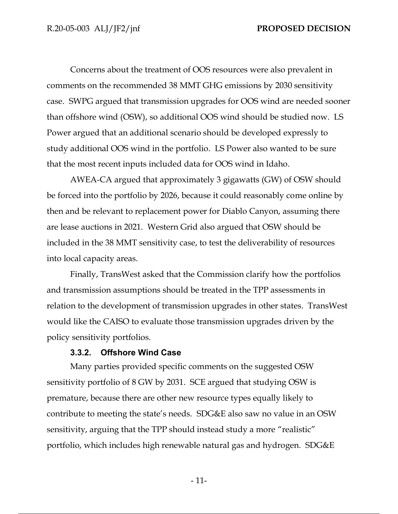Concerns about the treatment of OOS resources were also prevalent in comments on the recommended 38 MMT GHG emissions by 2030 sensitivity case. SWPG argued that transmission upgrades for OOS wind are needed sooner than offshore wind (OSW), so additional OOS wind should be studied now. LS Power argued that an additional scenario should be developed expressly to study additional OOS wind in the portfolio. LS Power also wanted to be sure that the most recent inputs included data for OOS wind in Idaho.

AWEA-CA argued that approximately 3 gigawatts (GW) of OSW should be forced into the portfolio by 2026, because it could reasonably come online by then and be relevant to replacement power for Diablo Canyon, assuming there are lease auctions in 2021. Western Grid also argued that OSW should be included in the 38 MMT sensitivity case, to test the deliverability of resources into local capacity areas.

Finally, TransWest asked that the Commission clarify how the portfolios and transmission assumptions should be treated in the TPP assessments in relation to the development of transmission upgrades in other states. TransWest would like the CAISO to evaluate those transmission upgrades driven by the policy sensitivity portfolios.

### **3.3.2. Offshore Wind Case**

Many parties provided specific comments on the suggested OSW sensitivity portfolio of 8 GW by 2031. SCE argued that studying OSW is premature, because there are other new resource types equally likely to contribute to meeting the state's needs. SDG&E also saw no value in an OSW sensitivity, arguing that the TPP should instead study a more "realistic" portfolio, which includes high renewable natural gas and hydrogen. SDG&E

- 11-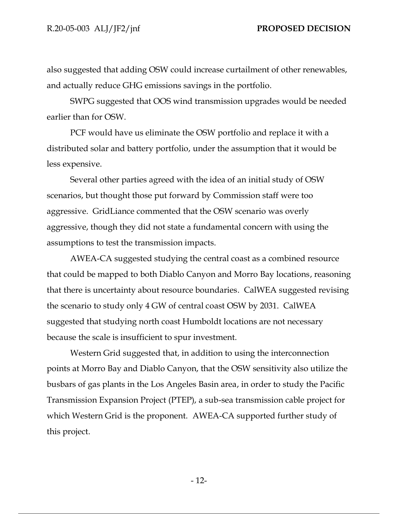also suggested that adding OSW could increase curtailment of other renewables, and actually reduce GHG emissions savings in the portfolio.

SWPG suggested that OOS wind transmission upgrades would be needed earlier than for OSW.

PCF would have us eliminate the OSW portfolio and replace it with a distributed solar and battery portfolio, under the assumption that it would be less expensive.

Several other parties agreed with the idea of an initial study of OSW scenarios, but thought those put forward by Commission staff were too aggressive. GridLiance commented that the OSW scenario was overly aggressive, though they did not state a fundamental concern with using the assumptions to test the transmission impacts.

AWEA-CA suggested studying the central coast as a combined resource that could be mapped to both Diablo Canyon and Morro Bay locations, reasoning that there is uncertainty about resource boundaries. CalWEA suggested revising the scenario to study only 4 GW of central coast OSW by 2031. CalWEA suggested that studying north coast Humboldt locations are not necessary because the scale is insufficient to spur investment.

Western Grid suggested that, in addition to using the interconnection points at Morro Bay and Diablo Canyon, that the OSW sensitivity also utilize the busbars of gas plants in the Los Angeles Basin area, in order to study the Pacific Transmission Expansion Project (PTEP), a sub-sea transmission cable project for which Western Grid is the proponent. AWEA-CA supported further study of this project.

- 12-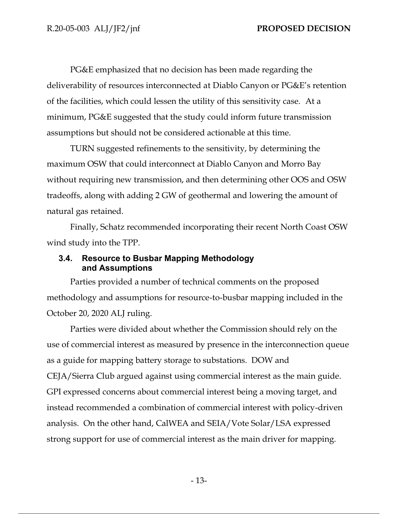PG&E emphasized that no decision has been made regarding the deliverability of resources interconnected at Diablo Canyon or PG&E's retention of the facilities, which could lessen the utility of this sensitivity case. At a minimum, PG&E suggested that the study could inform future transmission assumptions but should not be considered actionable at this time.

TURN suggested refinements to the sensitivity, by determining the maximum OSW that could interconnect at Diablo Canyon and Morro Bay without requiring new transmission, and then determining other OOS and OSW tradeoffs, along with adding 2 GW of geothermal and lowering the amount of natural gas retained.

Finally, Schatz recommended incorporating their recent North Coast OSW wind study into the TPP.

# **3.4. Resource to Busbar Mapping Methodology and Assumptions**

Parties provided a number of technical comments on the proposed methodology and assumptions for resource-to-busbar mapping included in the October 20, 2020 ALJ ruling.

Parties were divided about whether the Commission should rely on the use of commercial interest as measured by presence in the interconnection queue as a guide for mapping battery storage to substations. DOW and CEJA/Sierra Club argued against using commercial interest as the main guide. GPI expressed concerns about commercial interest being a moving target, and instead recommended a combination of commercial interest with policy-driven analysis. On the other hand, CalWEA and SEIA/Vote Solar/LSA expressed strong support for use of commercial interest as the main driver for mapping.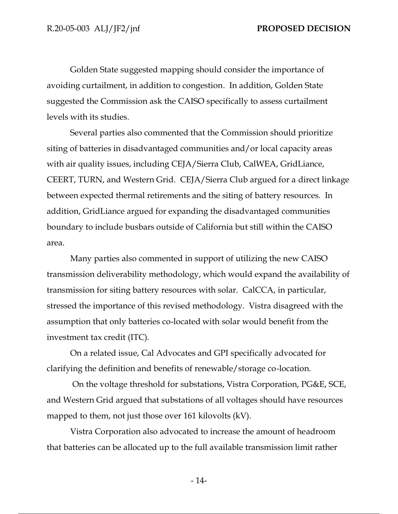Golden State suggested mapping should consider the importance of avoiding curtailment, in addition to congestion. In addition, Golden State suggested the Commission ask the CAISO specifically to assess curtailment levels with its studies.

Several parties also commented that the Commission should prioritize siting of batteries in disadvantaged communities and/or local capacity areas with air quality issues, including CEJA/Sierra Club, CalWEA, GridLiance, CEERT, TURN, and Western Grid. CEJA/Sierra Club argued for a direct linkage between expected thermal retirements and the siting of battery resources. In addition, GridLiance argued for expanding the disadvantaged communities boundary to include busbars outside of California but still within the CAISO area.

Many parties also commented in support of utilizing the new CAISO transmission deliverability methodology, which would expand the availability of transmission for siting battery resources with solar. CalCCA, in particular, stressed the importance of this revised methodology. Vistra disagreed with the assumption that only batteries co-located with solar would benefit from the investment tax credit (ITC).

On a related issue, Cal Advocates and GPI specifically advocated for clarifying the definition and benefits of renewable/storage co-location.

On the voltage threshold for substations, Vistra Corporation, PG&E, SCE, and Western Grid argued that substations of all voltages should have resources mapped to them, not just those over 161 kilovolts (kV).

Vistra Corporation also advocated to increase the amount of headroom that batteries can be allocated up to the full available transmission limit rather

- 14-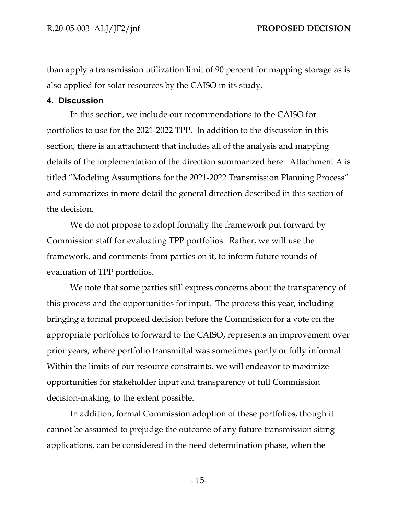than apply a transmission utilization limit of 90 percent for mapping storage as is also applied for solar resources by the CAISO in its study.

## **4. Discussion**

In this section, we include our recommendations to the CAISO for portfolios to use for the 2021-2022 TPP. In addition to the discussion in this section, there is an attachment that includes all of the analysis and mapping details of the implementation of the direction summarized here. Attachment A is titled "Modeling Assumptions for the 2021-2022 Transmission Planning Process" and summarizes in more detail the general direction described in this section of the decision.

We do not propose to adopt formally the framework put forward by Commission staff for evaluating TPP portfolios. Rather, we will use the framework, and comments from parties on it, to inform future rounds of evaluation of TPP portfolios.

We note that some parties still express concerns about the transparency of this process and the opportunities for input. The process this year, including bringing a formal proposed decision before the Commission for a vote on the appropriate portfolios to forward to the CAISO, represents an improvement over prior years, where portfolio transmittal was sometimes partly or fully informal. Within the limits of our resource constraints, we will endeavor to maximize opportunities for stakeholder input and transparency of full Commission decision-making, to the extent possible.

In addition, formal Commission adoption of these portfolios, though it cannot be assumed to prejudge the outcome of any future transmission siting applications, can be considered in the need determination phase, when the

- 15-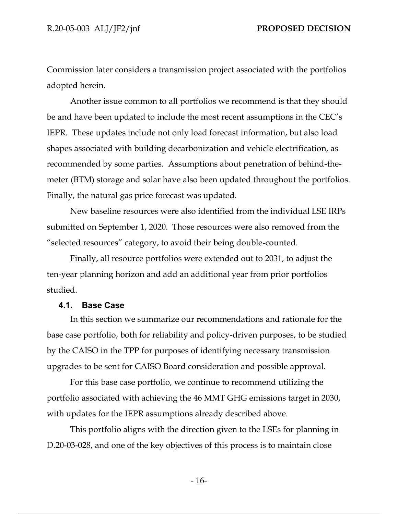Commission later considers a transmission project associated with the portfolios adopted herein.

Another issue common to all portfolios we recommend is that they should be and have been updated to include the most recent assumptions in the CEC's IEPR. These updates include not only load forecast information, but also load shapes associated with building decarbonization and vehicle electrification, as recommended by some parties. Assumptions about penetration of behind-themeter (BTM) storage and solar have also been updated throughout the portfolios. Finally, the natural gas price forecast was updated.

New baseline resources were also identified from the individual LSE IRPs submitted on September 1, 2020. Those resources were also removed from the "selected resources" category, to avoid their being double-counted.

Finally, all resource portfolios were extended out to 2031, to adjust the ten-year planning horizon and add an additional year from prior portfolios studied.

### **4.1. Base Case**

In this section we summarize our recommendations and rationale for the base case portfolio, both for reliability and policy-driven purposes, to be studied by the CAISO in the TPP for purposes of identifying necessary transmission upgrades to be sent for CAISO Board consideration and possible approval.

For this base case portfolio, we continue to recommend utilizing the portfolio associated with achieving the 46 MMT GHG emissions target in 2030, with updates for the IEPR assumptions already described above.

This portfolio aligns with the direction given to the LSEs for planning in D.20-03-028, and one of the key objectives of this process is to maintain close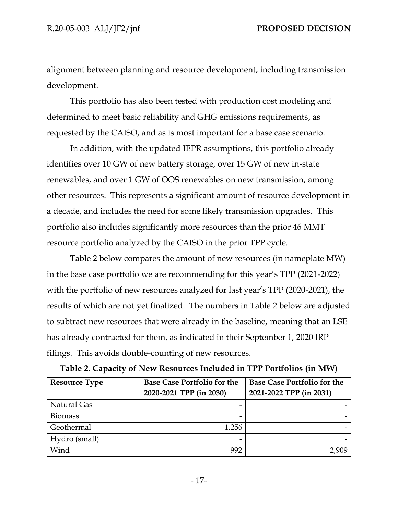alignment between planning and resource development, including transmission development.

This portfolio has also been tested with production cost modeling and determined to meet basic reliability and GHG emissions requirements, as requested by the CAISO, and as is most important for a base case scenario.

In addition, with the updated IEPR assumptions, this portfolio already identifies over 10 GW of new battery storage, over 15 GW of new in-state renewables, and over 1 GW of OOS renewables on new transmission, among other resources. This represents a significant amount of resource development in a decade, and includes the need for some likely transmission upgrades. This portfolio also includes significantly more resources than the prior 46 MMT resource portfolio analyzed by the CAISO in the prior TPP cycle.

Table 2 below compares the amount of new resources (in nameplate MW) in the base case portfolio we are recommending for this year's TPP (2021-2022) with the portfolio of new resources analyzed for last year's TPP (2020-2021), the results of which are not yet finalized. The numbers in Table 2 below are adjusted to subtract new resources that were already in the baseline, meaning that an LSE has already contracted for them, as indicated in their September 1, 2020 IRP filings. This avoids double-counting of new resources.

| <b>Resource Type</b> | <b>Base Case Portfolio for the</b><br>2020-2021 TPP (in 2030) | <b>Base Case Portfolio for the</b><br>2021-2022 TPP (in 2031) |
|----------------------|---------------------------------------------------------------|---------------------------------------------------------------|
| Natural Gas          |                                                               |                                                               |
| <b>Biomass</b>       |                                                               |                                                               |
| Geothermal           | 1,256                                                         |                                                               |
| Hydro (small)        |                                                               |                                                               |
| Wind                 | 992                                                           |                                                               |

| Table 2. Capacity of New Resources Included in TPP Portfolios (in MW) |  |  |
|-----------------------------------------------------------------------|--|--|
|-----------------------------------------------------------------------|--|--|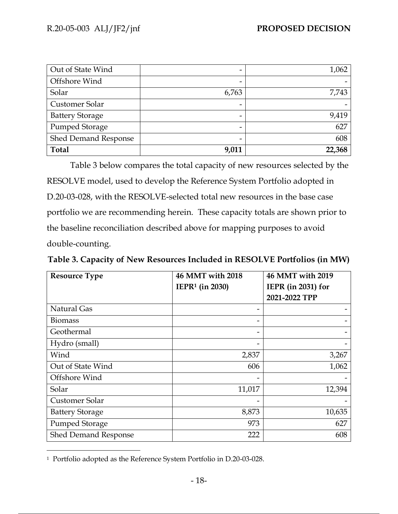| Out of State Wind      | -     | 1,062  |
|------------------------|-------|--------|
| Offshore Wind          | -     |        |
| Solar                  | 6,763 | 7,743  |
| Customer Solar         |       |        |
| <b>Battery Storage</b> |       | 9,419  |
| Pumped Storage         |       | 627    |
| Shed Demand Response   | -     | 608    |
| <b>Total</b>           | 9,011 | 22,368 |

Table 3 below compares the total capacity of new resources selected by the RESOLVE model, used to develop the Reference System Portfolio adopted in D.20-03-028, with the RESOLVE-selected total new resources in the base case portfolio we are recommending herein. These capacity totals are shown prior to the baseline reconciliation described above for mapping purposes to avoid double-counting.

| Table 3. Capacity of New Resources Included in RESOLVE Portfolios (in MW) |  |  |  |
|---------------------------------------------------------------------------|--|--|--|
|---------------------------------------------------------------------------|--|--|--|

| <b>Resource Type</b>        | 46 MMT with 2018<br>IEPR <sup>1</sup> (in 2030) | 46 MMT with 2019<br>IEPR (in 2031) for |
|-----------------------------|-------------------------------------------------|----------------------------------------|
|                             |                                                 | 2021-2022 TPP                          |
| <b>Natural Gas</b>          |                                                 |                                        |
| <b>Biomass</b>              |                                                 |                                        |
| Geothermal                  | -                                               |                                        |
| Hydro (small)               |                                                 |                                        |
| Wind                        | 2,837                                           | 3,267                                  |
| Out of State Wind           | 606                                             | 1,062                                  |
| Offshore Wind               |                                                 |                                        |
| Solar                       | 11,017                                          | 12,394                                 |
| Customer Solar              |                                                 |                                        |
| <b>Battery Storage</b>      | 8,873                                           | 10,635                                 |
| Pumped Storage              | 973                                             | 627                                    |
| <b>Shed Demand Response</b> | 222                                             | 608                                    |

<sup>1</sup> Portfolio adopted as the Reference System Portfolio in D.20-03-028.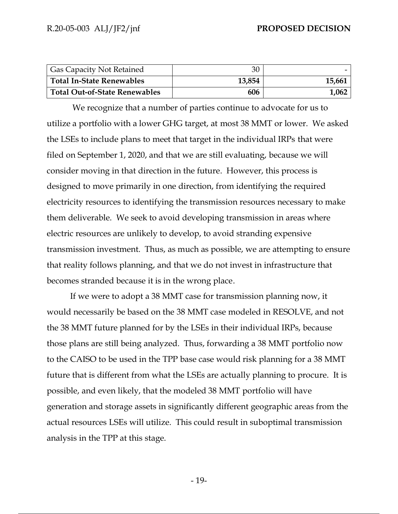| <b>Gas Capacity Not Retained</b>     | 30     |        |
|--------------------------------------|--------|--------|
| <b>Total In-State Renewables</b>     | 13,854 | 15,661 |
| <b>Total Out-of-State Renewables</b> | 606    | 1,062  |

We recognize that a number of parties continue to advocate for us to utilize a portfolio with a lower GHG target, at most 38 MMT or lower. We asked the LSEs to include plans to meet that target in the individual IRPs that were filed on September 1, 2020, and that we are still evaluating, because we will consider moving in that direction in the future. However, this process is designed to move primarily in one direction, from identifying the required electricity resources to identifying the transmission resources necessary to make them deliverable. We seek to avoid developing transmission in areas where electric resources are unlikely to develop, to avoid stranding expensive transmission investment. Thus, as much as possible, we are attempting to ensure that reality follows planning, and that we do not invest in infrastructure that becomes stranded because it is in the wrong place.

If we were to adopt a 38 MMT case for transmission planning now, it would necessarily be based on the 38 MMT case modeled in RESOLVE, and not the 38 MMT future planned for by the LSEs in their individual IRPs, because those plans are still being analyzed. Thus, forwarding a 38 MMT portfolio now to the CAISO to be used in the TPP base case would risk planning for a 38 MMT future that is different from what the LSEs are actually planning to procure. It is possible, and even likely, that the modeled 38 MMT portfolio will have generation and storage assets in significantly different geographic areas from the actual resources LSEs will utilize. This could result in suboptimal transmission analysis in the TPP at this stage.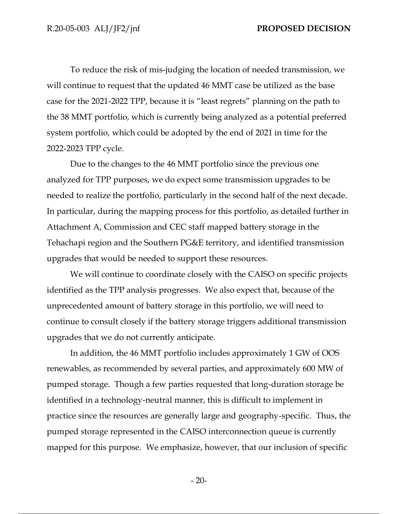To reduce the risk of mis-judging the location of needed transmission, we will continue to request that the updated 46 MMT case be utilized as the base case for the 2021-2022 TPP, because it is "least regrets" planning on the path to the 38 MMT portfolio, which is currently being analyzed as a potential preferred system portfolio, which could be adopted by the end of 2021 in time for the 2022-2023 TPP cycle.

Due to the changes to the 46 MMT portfolio since the previous one analyzed for TPP purposes, we do expect some transmission upgrades to be needed to realize the portfolio, particularly in the second half of the next decade. In particular, during the mapping process for this portfolio, as detailed further in Attachment A, Commission and CEC staff mapped battery storage in the Tehachapi region and the Southern PG&E territory, and identified transmission upgrades that would be needed to support these resources.

We will continue to coordinate closely with the CAISO on specific projects identified as the TPP analysis progresses. We also expect that, because of the unprecedented amount of battery storage in this portfolio, we will need to continue to consult closely if the battery storage triggers additional transmission upgrades that we do not currently anticipate.

In addition, the 46 MMT portfolio includes approximately 1 GW of OOS renewables, as recommended by several parties, and approximately 600 MW of pumped storage. Though a few parties requested that long-duration storage be identified in a technology-neutral manner, this is difficult to implement in practice since the resources are generally large and geography-specific. Thus, the pumped storage represented in the CAISO interconnection queue is currently mapped for this purpose. We emphasize, however, that our inclusion of specific

- 20-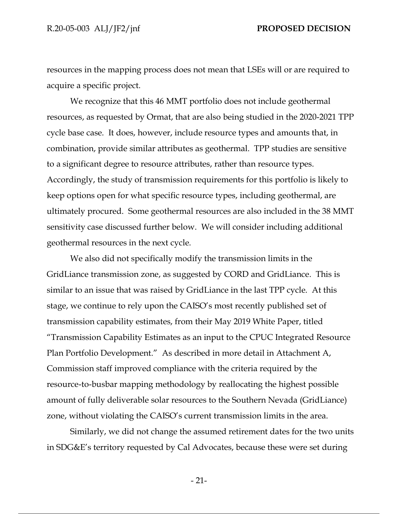resources in the mapping process does not mean that LSEs will or are required to acquire a specific project.

We recognize that this 46 MMT portfolio does not include geothermal resources, as requested by Ormat, that are also being studied in the 2020-2021 TPP cycle base case. It does, however, include resource types and amounts that, in combination, provide similar attributes as geothermal. TPP studies are sensitive to a significant degree to resource attributes, rather than resource types. Accordingly, the study of transmission requirements for this portfolio is likely to keep options open for what specific resource types, including geothermal, are ultimately procured. Some geothermal resources are also included in the 38 MMT sensitivity case discussed further below. We will consider including additional geothermal resources in the next cycle.

We also did not specifically modify the transmission limits in the GridLiance transmission zone, as suggested by CORD and GridLiance. This is similar to an issue that was raised by GridLiance in the last TPP cycle. At this stage, we continue to rely upon the CAISO's most recently published set of transmission capability estimates, from their May 2019 White Paper, titled "Transmission Capability Estimates as an input to the CPUC Integrated Resource Plan Portfolio Development." As described in more detail in Attachment A, Commission staff improved compliance with the criteria required by the resource-to-busbar mapping methodology by reallocating the highest possible amount of fully deliverable solar resources to the Southern Nevada (GridLiance) zone, without violating the CAISO's current transmission limits in the area.

Similarly, we did not change the assumed retirement dates for the two units in SDG&E's territory requested by Cal Advocates, because these were set during

- 21-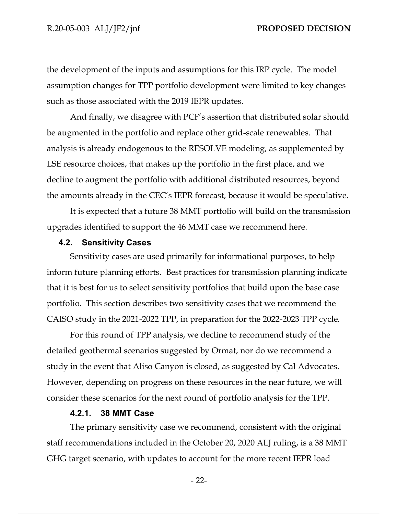the development of the inputs and assumptions for this IRP cycle. The model assumption changes for TPP portfolio development were limited to key changes such as those associated with the 2019 IEPR updates.

And finally, we disagree with PCF's assertion that distributed solar should be augmented in the portfolio and replace other grid-scale renewables. That analysis is already endogenous to the RESOLVE modeling, as supplemented by LSE resource choices, that makes up the portfolio in the first place, and we decline to augment the portfolio with additional distributed resources, beyond the amounts already in the CEC's IEPR forecast, because it would be speculative.

It is expected that a future 38 MMT portfolio will build on the transmission upgrades identified to support the 46 MMT case we recommend here.

### **4.2. Sensitivity Cases**

Sensitivity cases are used primarily for informational purposes, to help inform future planning efforts. Best practices for transmission planning indicate that it is best for us to select sensitivity portfolios that build upon the base case portfolio. This section describes two sensitivity cases that we recommend the CAISO study in the 2021-2022 TPP, in preparation for the 2022-2023 TPP cycle.

For this round of TPP analysis, we decline to recommend study of the detailed geothermal scenarios suggested by Ormat, nor do we recommend a study in the event that Aliso Canyon is closed, as suggested by Cal Advocates. However, depending on progress on these resources in the near future, we will consider these scenarios for the next round of portfolio analysis for the TPP.

### **4.2.1. 38 MMT Case**

The primary sensitivity case we recommend, consistent with the original staff recommendations included in the October 20, 2020 ALJ ruling, is a 38 MMT GHG target scenario, with updates to account for the more recent IEPR load

- 22-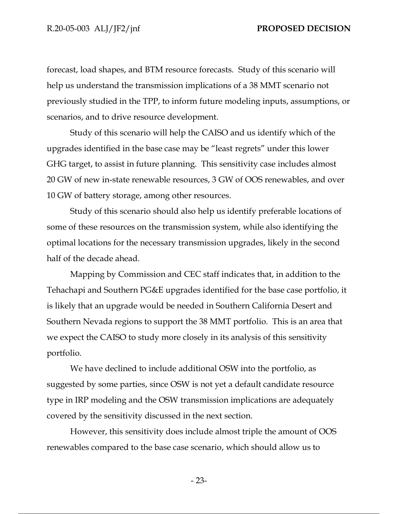forecast, load shapes, and BTM resource forecasts. Study of this scenario will help us understand the transmission implications of a 38 MMT scenario not previously studied in the TPP, to inform future modeling inputs, assumptions, or scenarios, and to drive resource development.

Study of this scenario will help the CAISO and us identify which of the upgrades identified in the base case may be "least regrets" under this lower GHG target, to assist in future planning. This sensitivity case includes almost 20 GW of new in-state renewable resources, 3 GW of OOS renewables, and over 10 GW of battery storage, among other resources.

Study of this scenario should also help us identify preferable locations of some of these resources on the transmission system, while also identifying the optimal locations for the necessary transmission upgrades, likely in the second half of the decade ahead.

Mapping by Commission and CEC staff indicates that, in addition to the Tehachapi and Southern PG&E upgrades identified for the base case portfolio, it is likely that an upgrade would be needed in Southern California Desert and Southern Nevada regions to support the 38 MMT portfolio. This is an area that we expect the CAISO to study more closely in its analysis of this sensitivity portfolio.

We have declined to include additional OSW into the portfolio, as suggested by some parties, since OSW is not yet a default candidate resource type in IRP modeling and the OSW transmission implications are adequately covered by the sensitivity discussed in the next section.

However, this sensitivity does include almost triple the amount of OOS renewables compared to the base case scenario, which should allow us to

- 23-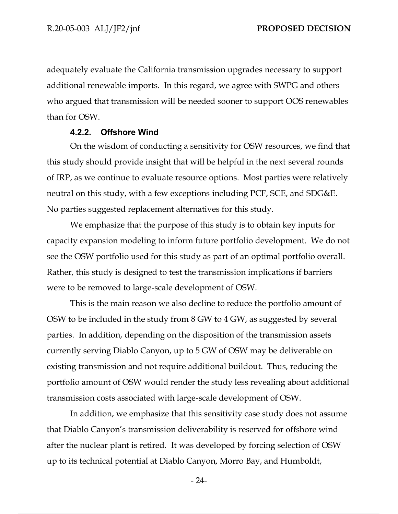adequately evaluate the California transmission upgrades necessary to support additional renewable imports. In this regard, we agree with SWPG and others who argued that transmission will be needed sooner to support OOS renewables than for OSW.

### **4.2.2. Offshore Wind**

On the wisdom of conducting a sensitivity for OSW resources, we find that this study should provide insight that will be helpful in the next several rounds of IRP, as we continue to evaluate resource options. Most parties were relatively neutral on this study, with a few exceptions including PCF, SCE, and SDG&E. No parties suggested replacement alternatives for this study.

We emphasize that the purpose of this study is to obtain key inputs for capacity expansion modeling to inform future portfolio development. We do not see the OSW portfolio used for this study as part of an optimal portfolio overall. Rather, this study is designed to test the transmission implications if barriers were to be removed to large-scale development of OSW.

This is the main reason we also decline to reduce the portfolio amount of OSW to be included in the study from 8 GW to 4 GW, as suggested by several parties. In addition, depending on the disposition of the transmission assets currently serving Diablo Canyon, up to 5 GW of OSW may be deliverable on existing transmission and not require additional buildout. Thus, reducing the portfolio amount of OSW would render the study less revealing about additional transmission costs associated with large-scale development of OSW.

In addition, we emphasize that this sensitivity case study does not assume that Diablo Canyon's transmission deliverability is reserved for offshore wind after the nuclear plant is retired. It was developed by forcing selection of OSW up to its technical potential at Diablo Canyon, Morro Bay, and Humboldt,

- 24-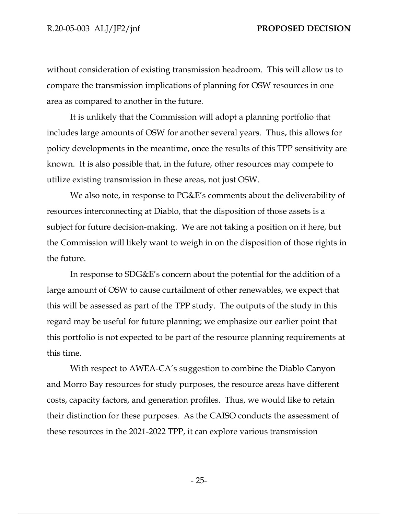without consideration of existing transmission headroom. This will allow us to compare the transmission implications of planning for OSW resources in one area as compared to another in the future.

It is unlikely that the Commission will adopt a planning portfolio that includes large amounts of OSW for another several years. Thus, this allows for policy developments in the meantime, once the results of this TPP sensitivity are known. It is also possible that, in the future, other resources may compete to utilize existing transmission in these areas, not just OSW.

We also note, in response to PG&E's comments about the deliverability of resources interconnecting at Diablo, that the disposition of those assets is a subject for future decision-making. We are not taking a position on it here, but the Commission will likely want to weigh in on the disposition of those rights in the future.

In response to SDG&E's concern about the potential for the addition of a large amount of OSW to cause curtailment of other renewables, we expect that this will be assessed as part of the TPP study. The outputs of the study in this regard may be useful for future planning; we emphasize our earlier point that this portfolio is not expected to be part of the resource planning requirements at this time.

With respect to AWEA-CA's suggestion to combine the Diablo Canyon and Morro Bay resources for study purposes, the resource areas have different costs, capacity factors, and generation profiles. Thus, we would like to retain their distinction for these purposes. As the CAISO conducts the assessment of these resources in the 2021-2022 TPP, it can explore various transmission

- 25-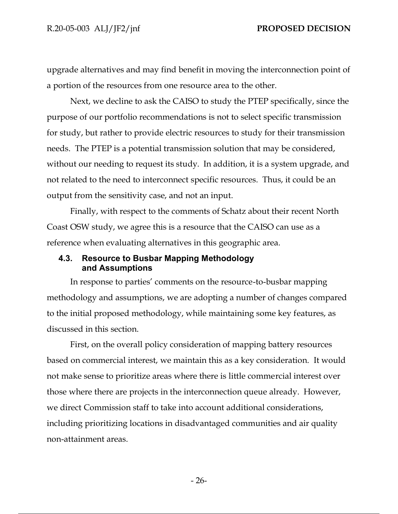upgrade alternatives and may find benefit in moving the interconnection point of a portion of the resources from one resource area to the other.

Next, we decline to ask the CAISO to study the PTEP specifically, since the purpose of our portfolio recommendations is not to select specific transmission for study, but rather to provide electric resources to study for their transmission needs. The PTEP is a potential transmission solution that may be considered, without our needing to request its study. In addition, it is a system upgrade, and not related to the need to interconnect specific resources. Thus, it could be an output from the sensitivity case, and not an input.

Finally, with respect to the comments of Schatz about their recent North Coast OSW study, we agree this is a resource that the CAISO can use as a reference when evaluating alternatives in this geographic area.

# **4.3. Resource to Busbar Mapping Methodology and Assumptions**

In response to parties' comments on the resource-to-busbar mapping methodology and assumptions, we are adopting a number of changes compared to the initial proposed methodology, while maintaining some key features, as discussed in this section.

First, on the overall policy consideration of mapping battery resources based on commercial interest, we maintain this as a key consideration. It would not make sense to prioritize areas where there is little commercial interest over those where there are projects in the interconnection queue already. However, we direct Commission staff to take into account additional considerations, including prioritizing locations in disadvantaged communities and air quality non-attainment areas.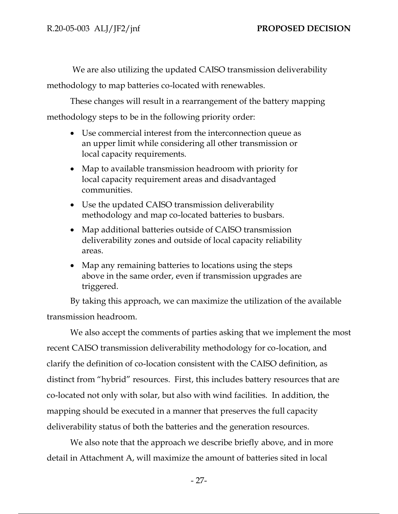We are also utilizing the updated CAISO transmission deliverability methodology to map batteries co-located with renewables.

These changes will result in a rearrangement of the battery mapping methodology steps to be in the following priority order:

- Use commercial interest from the interconnection queue as an upper limit while considering all other transmission or local capacity requirements.
- Map to available transmission headroom with priority for local capacity requirement areas and disadvantaged communities.
- Use the updated CAISO transmission deliverability methodology and map co-located batteries to busbars.
- Map additional batteries outside of CAISO transmission deliverability zones and outside of local capacity reliability areas.
- Map any remaining batteries to locations using the steps above in the same order, even if transmission upgrades are triggered.

By taking this approach, we can maximize the utilization of the available transmission headroom.

We also accept the comments of parties asking that we implement the most recent CAISO transmission deliverability methodology for co-location, and clarify the definition of co-location consistent with the CAISO definition, as distinct from "hybrid" resources. First, this includes battery resources that are co-located not only with solar, but also with wind facilities. In addition, the mapping should be executed in a manner that preserves the full capacity deliverability status of both the batteries and the generation resources.

We also note that the approach we describe briefly above, and in more detail in Attachment A, will maximize the amount of batteries sited in local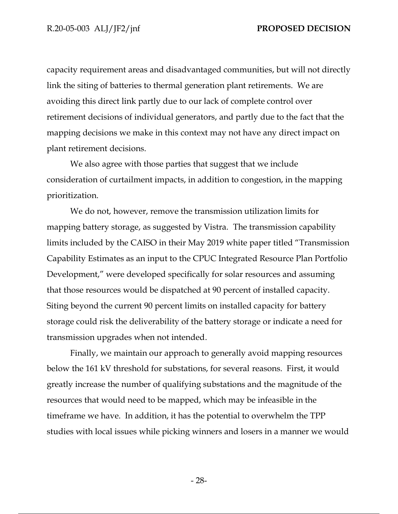capacity requirement areas and disadvantaged communities, but will not directly link the siting of batteries to thermal generation plant retirements. We are avoiding this direct link partly due to our lack of complete control over retirement decisions of individual generators, and partly due to the fact that the mapping decisions we make in this context may not have any direct impact on plant retirement decisions.

We also agree with those parties that suggest that we include consideration of curtailment impacts, in addition to congestion, in the mapping prioritization.

We do not, however, remove the transmission utilization limits for mapping battery storage, as suggested by Vistra. The transmission capability limits included by the CAISO in their May 2019 white paper titled "Transmission Capability Estimates as an input to the CPUC Integrated Resource Plan Portfolio Development," were developed specifically for solar resources and assuming that those resources would be dispatched at 90 percent of installed capacity. Siting beyond the current 90 percent limits on installed capacity for battery storage could risk the deliverability of the battery storage or indicate a need for transmission upgrades when not intended.

Finally, we maintain our approach to generally avoid mapping resources below the 161 kV threshold for substations, for several reasons. First, it would greatly increase the number of qualifying substations and the magnitude of the resources that would need to be mapped, which may be infeasible in the timeframe we have. In addition, it has the potential to overwhelm the TPP studies with local issues while picking winners and losers in a manner we would

- 28-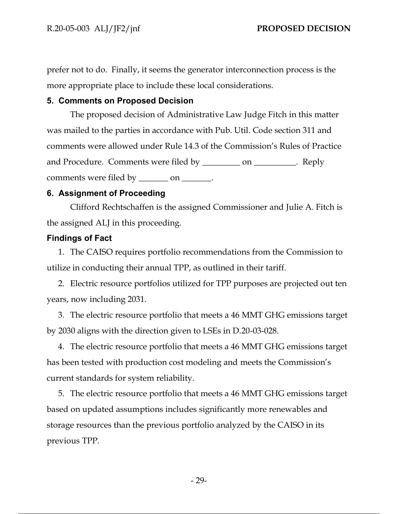prefer not to do. Finally, it seems the generator interconnection process is the more appropriate place to include these local considerations.

# **5. Comments on Proposed Decision**

The proposed decision of Administrative Law Judge Fitch in this matter was mailed to the parties in accordance with Pub. Util. Code section 311 and comments were allowed under Rule 14.3 of the Commission's Rules of Practice and Procedure. Comments were filed by \_\_\_\_\_\_\_\_\_\_ on \_\_\_\_\_\_\_\_\_. Reply comments were filed by \_\_\_\_\_\_\_\_ on \_\_\_\_\_\_\_.

# **6. Assignment of Proceeding**

Clifford Rechtschaffen is the assigned Commissioner and Julie A. Fitch is the assigned ALJ in this proceeding.

# **Findings of Fact**

1. The CAISO requires portfolio recommendations from the Commission to utilize in conducting their annual TPP, as outlined in their tariff.

2. Electric resource portfolios utilized for TPP purposes are projected out ten years, now including 2031.

3. The electric resource portfolio that meets a 46 MMT GHG emissions target by 2030 aligns with the direction given to LSEs in D.20-03-028.

4. The electric resource portfolio that meets a 46 MMT GHG emissions target has been tested with production cost modeling and meets the Commission's current standards for system reliability.

5. The electric resource portfolio that meets a 46 MMT GHG emissions target based on updated assumptions includes significantly more renewables and storage resources than the previous portfolio analyzed by the CAISO in its previous TPP.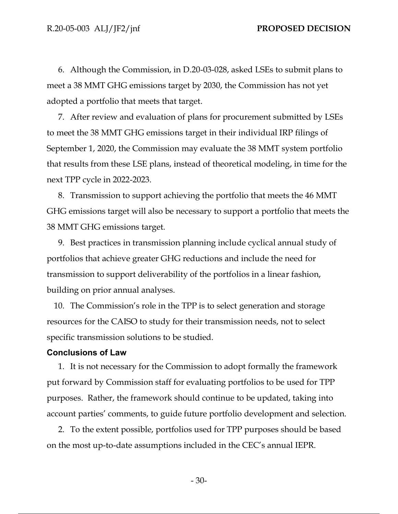6. Although the Commission, in D.20-03-028, asked LSEs to submit plans to meet a 38 MMT GHG emissions target by 2030, the Commission has not yet adopted a portfolio that meets that target.

7. After review and evaluation of plans for procurement submitted by LSEs to meet the 38 MMT GHG emissions target in their individual IRP filings of September 1, 2020, the Commission may evaluate the 38 MMT system portfolio that results from these LSE plans, instead of theoretical modeling, in time for the next TPP cycle in 2022-2023.

8. Transmission to support achieving the portfolio that meets the 46 MMT GHG emissions target will also be necessary to support a portfolio that meets the 38 MMT GHG emissions target.

9. Best practices in transmission planning include cyclical annual study of portfolios that achieve greater GHG reductions and include the need for transmission to support deliverability of the portfolios in a linear fashion, building on prior annual analyses.

10. The Commission's role in the TPP is to select generation and storage resources for the CAISO to study for their transmission needs, not to select specific transmission solutions to be studied.

### **Conclusions of Law**

1. It is not necessary for the Commission to adopt formally the framework put forward by Commission staff for evaluating portfolios to be used for TPP purposes. Rather, the framework should continue to be updated, taking into account parties' comments, to guide future portfolio development and selection.

2. To the extent possible, portfolios used for TPP purposes should be based on the most up-to-date assumptions included in the CEC's annual IEPR.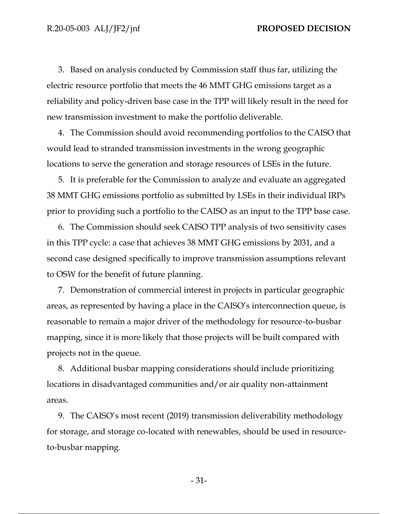3. Based on analysis conducted by Commission staff thus far, utilizing the electric resource portfolio that meets the 46 MMT GHG emissions target as a reliability and policy-driven base case in the TPP will likely result in the need for new transmission investment to make the portfolio deliverable.

4. The Commission should avoid recommending portfolios to the CAISO that would lead to stranded transmission investments in the wrong geographic locations to serve the generation and storage resources of LSEs in the future.

5. It is preferable for the Commission to analyze and evaluate an aggregated 38 MMT GHG emissions portfolio as submitted by LSEs in their individual IRPs prior to providing such a portfolio to the CAISO as an input to the TPP base case.

6. The Commission should seek CAISO TPP analysis of two sensitivity cases in this TPP cycle: a case that achieves 38 MMT GHG emissions by 2031, and a second case designed specifically to improve transmission assumptions relevant to OSW for the benefit of future planning.

7. Demonstration of commercial interest in projects in particular geographic areas, as represented by having a place in the CAISO's interconnection queue, is reasonable to remain a major driver of the methodology for resource-to-busbar mapping, since it is more likely that those projects will be built compared with projects not in the queue.

8. Additional busbar mapping considerations should include prioritizing locations in disadvantaged communities and/or air quality non-attainment areas.

9. The CAISO's most recent (2019) transmission deliverability methodology for storage, and storage co-located with renewables, should be used in resourceto-busbar mapping.

- 31-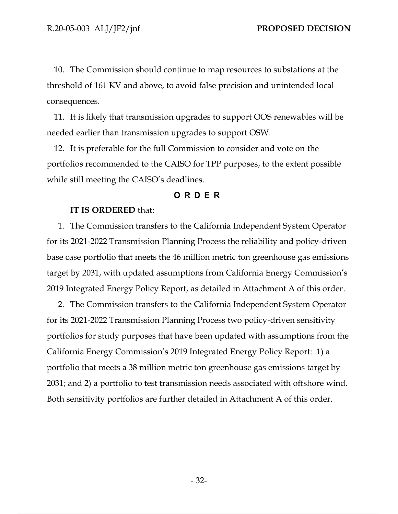10. The Commission should continue to map resources to substations at the threshold of 161 KV and above, to avoid false precision and unintended local consequences.

11. It is likely that transmission upgrades to support OOS renewables will be needed earlier than transmission upgrades to support OSW.

12. It is preferable for the full Commission to consider and vote on the portfolios recommended to the CAISO for TPP purposes, to the extent possible while still meeting the CAISO's deadlines.

### **O RDER**

### **IT IS ORDERED** that:

1. The Commission transfers to the California Independent System Operator for its 2021-2022 Transmission Planning Process the reliability and policy-driven base case portfolio that meets the 46 million metric ton greenhouse gas emissions target by 2031, with updated assumptions from California Energy Commission's 2019 Integrated Energy Policy Report, as detailed in Attachment A of this order.

2. The Commission transfers to the California Independent System Operator for its 2021-2022 Transmission Planning Process two policy-driven sensitivity portfolios for study purposes that have been updated with assumptions from the California Energy Commission's 2019 Integrated Energy Policy Report: 1) a portfolio that meets a 38 million metric ton greenhouse gas emissions target by 2031; and 2) a portfolio to test transmission needs associated with offshore wind. Both sensitivity portfolios are further detailed in Attachment A of this order.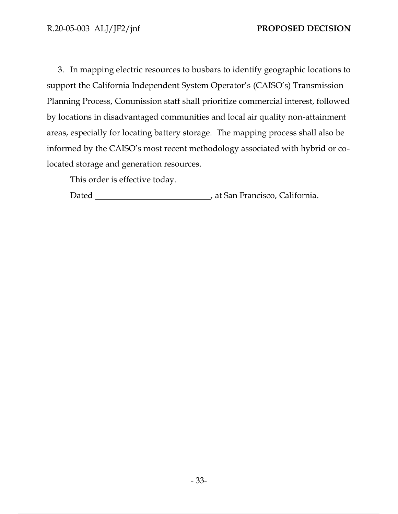3. In mapping electric resources to busbars to identify geographic locations to support the California Independent System Operator's (CAISO's) Transmission Planning Process, Commission staff shall prioritize commercial interest, followed by locations in disadvantaged communities and local air quality non-attainment areas, especially for locating battery storage. The mapping process shall also be informed by the CAISO's most recent methodology associated with hybrid or colocated storage and generation resources.

This order is effective today.

Dated , at San Francisco, California.